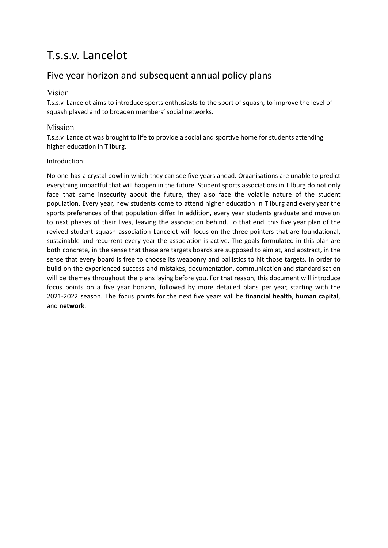# T.s.s.v. Lancelot

# Five year horizon and subsequent annual policy plans

## Vision

T.s.s.v. Lancelot aims to introduce sports enthusiasts to the sport of squash, to improve the level of squash played and to broaden members' social networks.

# Mission

T.s.s.v. Lancelot was brought to life to provide a social and sportive home for students attending higher education in Tilburg.

### Introduction

No one has a crystal bowl in which they can see five years ahead. Organisations are unable to predict everything impactful that will happen in the future. Student sports associations in Tilburg do not only face that same insecurity about the future, they also face the volatile nature of the student population. Every year, new students come to attend higher education in Tilburg and every year the sports preferences of that population differ. In addition, every year students graduate and move on to next phases of their lives, leaving the association behind. To that end, this five year plan of the revived student squash association Lancelot will focus on the three pointers that are foundational, sustainable and recurrent every year the association is active. The goals formulated in this plan are both concrete, in the sense that these are targets boards are supposed to aim at, and abstract, in the sense that every board is free to choose its weaponry and ballistics to hit those targets. In order to build on the experienced success and mistakes, documentation, communication and standardisation will be themes throughout the plans laying before you. For that reason, this document will introduce focus points on a five year horizon, followed by more detailed plans per year, starting with the 2021-2022 season. The focus points for the next five years will be **financial health**, **human capital**, and **network**.